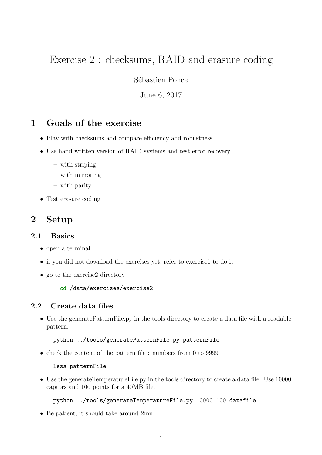# Exercise 2 : checksums, RAID and erasure coding

Sébastien Ponce

June 6, 2017

# 1 Goals of the exercise

- Play with checksums and compare efficiency and robustness
- Use hand written version of RAID systems and test error recovery
	- with striping
	- with mirroring
	- with parity
- Test erasure coding

## 2 Setup

#### 2.1 Basics

- open a terminal
- if you did not download the exercises yet, refer to exercise1 to do it
- go to the exercise2 directory

cd /data/exercises/exercise2

### 2.2 Create data files

• Use the generatePatternFile.py in the tools directory to create a data file with a readable pattern.

python ../tools/generatePatternFile.py patternFile

• check the content of the pattern file : numbers from 0 to 9999

less patternFile

• Use the generateTemperatureFile.py in the tools directory to create a data file. Use 10000 captors and 100 points for a 40MB file.

python ../tools/generateTemperatureFile.py 10000 100 datafile

• Be patient, it should take around 2mn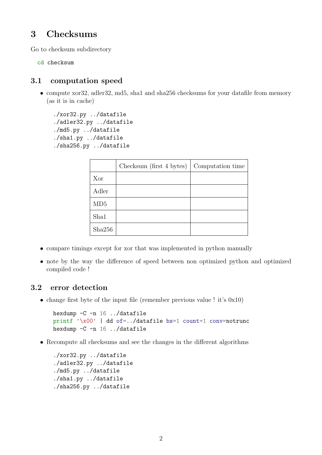# 3 Checksums

Go to checksum subdirectory

cd checksum

### 3.1 computation speed

• compute xor32, adler32, md5, sha1 and sha256 checksums for your datafile from memory (as it is in cache)

```
./xor32.py ../datafile
./adler32.py ../datafile
./md5.py ../datafile
./sha1.py ../datafile
./sha256.py ../datafile
```

|        | Checksum (first 4 bytes) | Computation time |
|--------|--------------------------|------------------|
| Xor    |                          |                  |
| Adler  |                          |                  |
| MD5    |                          |                  |
| Sha1   |                          |                  |
| Sha256 |                          |                  |

- compare timings except for xor that was implemented in python manually
- note by the way the difference of speed between non optimized python and optimized compiled code !

#### 3.2 error detection

• change first byte of the input file (remember previous value ! it's  $0x10$ )

```
hexdump -C -n 16 ../datafile
printf '\x00' | dd of=../datafile bs=1 count=1 conv=notrunc
hexdump -C -n 16 ../datafile
```
• Recompute all checksums and see the changes in the different algorithms

```
./xor32.py ../datafile
./adler32.py ../datafile
./md5.py ../datafile
./sha1.py ../datafile
./sha256.py ../datafile
```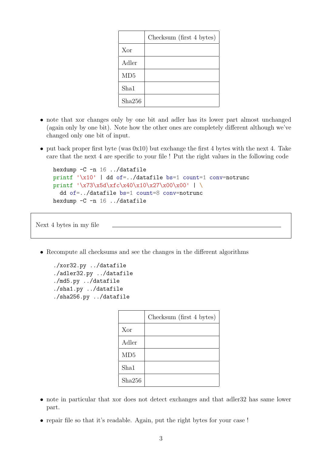|        | Checksum (first 4 bytes) |
|--------|--------------------------|
| Xor    |                          |
| Adler  |                          |
| MD5    |                          |
| Sha1   |                          |
| Sha256 |                          |

- note that xor changes only by one bit and adler has its lower part almost unchanged (again only by one bit). Note how the other ones are completely different although we've changed only one bit of input.
- put back proper first byte (was 0x10) but exchange the first 4 bytes with the next 4. Take care that the next 4 are specific to your file ! Put the right values in the following code

```
hexdump -C -n 16 ../datafile
printf '\x10' | dd of=../datafile bs=1 count=1 conv=notrunc
printf '\x73\x5d\xfc\x40\x10\x27\x00\x00' | \
  dd of=../datafile bs=1 count=8 conv=notrunc
hexdump -C -n 16 ../datafile
```
Next 4 bytes in my file

• Recompute all checksums and see the changes in the different algorithms

```
./xor32.py ../datafile
./adler32.py ../datafile
./md5.py ../datafile
./sha1.py ../datafile
./sha256.py ../datafile
```

|        | Checksum (first 4 bytes) |
|--------|--------------------------|
| Xor    |                          |
| Adler  |                          |
| MD5    |                          |
| Sha1   |                          |
| Sha256 |                          |

- note in particular that xor does not detect exchanges and that adler32 has same lower part.
- repair file so that it's readable. Again, put the right bytes for your case !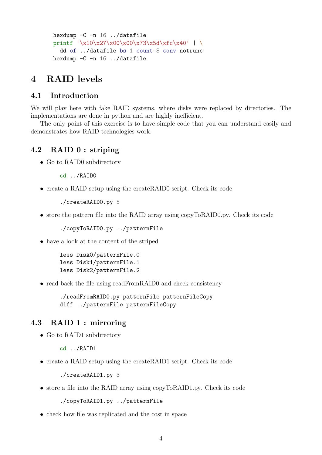```
hexdump -C -n 16 ../datafile
printf '\x10\x27\x00\x00\x73\x5d\xfc\x40' | \
  dd of=../datafile bs=1 count=8 conv=notrunc
hexdump -C -n 16 ../datafile
```
# 4 RAID levels

### 4.1 Introduction

We will play here with fake RAID systems, where disks were replaced by directories. The implementations are done in python and are highly inefficient.

The only point of this exercise is to have simple code that you can understand easily and demonstrates how RAID technologies work.

### 4.2 RAID 0 : striping

• Go to RAID0 subdirectory

cd ../RAID0

• create a RAID setup using the createRAID0 script. Check its code

./createRAID0.py 5

• store the pattern file into the RAID array using copyToRAID0.py. Check its code

./copyToRAID0.py ../patternFile

• have a look at the content of the striped

```
less Disk0/patternFile.0
less Disk1/patternFile.1
less Disk2/patternFile.2
```
• read back the file using readFromRAID0 and check consistency

./readFromRAID0.py patternFile patternFileCopy diff ../patternFile patternFileCopy

### 4.3 RAID 1 : mirroring

• Go to RAID1 subdirectory

```
cd ../RAID1
```
• create a RAID setup using the createRAID1 script. Check its code

```
./createRAID1.py 3
```
• store a file into the RAID array using copyToRAID1.py. Check its code

```
./copyToRAID1.py ../patternFile
```
• check how file was replicated and the cost in space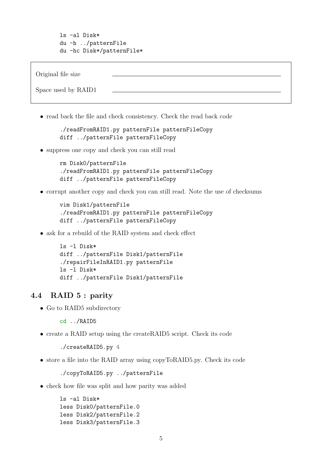ls -al Disk\* du -h ../patternFile du -hc Disk\*/patternFile\*

Original file size Space used by RAID1

• read back the file and check consistency. Check the read back code

./readFromRAID1.py patternFile patternFileCopy diff ../patternFile patternFileCopy

• suppress one copy and check you can still read

rm Disk0/patternFile ./readFromRAID1.py patternFile patternFileCopy diff ../patternFile patternFileCopy

• corrupt another copy and check you can still read. Note the use of checksums

```
vim Disk1/patternFile
./readFromRAID1.py patternFile patternFileCopy
diff ../patternFile patternFileCopy
```
• ask for a rebuild of the RAID system and check effect

```
ls -l Disk*
diff ../patternFile Disk1/patternFile
./repairFileInRAID1.py patternFile
ls -l Disk*
diff ../patternFile Disk1/patternFile
```
#### 4.4 RAID 5 : parity

• Go to RAID<sub>5</sub> subdirectory

cd ../RAID5

• create a RAID setup using the createRAID5 script. Check its code

./createRAID5.py 4

• store a file into the RAID array using copyToRAID5.py. Check its code

./copyToRAID5.py ../patternFile

• check how file was split and how parity was added

```
ls -al Disk*
less Disk0/patternFile.0
less Disk2/patternFile.2
less Disk3/patternFile.3
```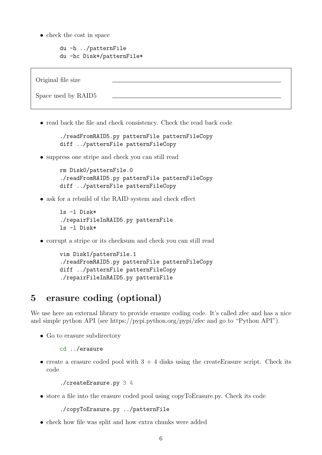• check the cost in space

```
du -h ../patternFile
du -hc Disk*/patternFile*
```


• read back the file and check consistency. Check the read back code

```
./readFromRAID5.py patternFile patternFileCopy
diff ../patternFile patternFileCopy
```
• suppress one stripe and check you can still read

```
rm Disk0/patternFile.0
./readFromRAID5.py patternFile patternFileCopy
diff ../patternFile patternFileCopy
```
• ask for a rebuild of the RAID system and check effect

```
ls -l Disk*
./repairFileInRAID5.py patternFile
ls -l Disk*
```
• corrupt a stripe or its checksum and check you can still read

```
vim Disk1/patternFile.1
./readFromRAID5.py patternFile patternFileCopy
diff ../patternFile patternFileCopy
./repairFileInRAID5.py patternFile
```
# 5 erasure coding (optional)

We use here an external library to provide erasure coding code. It's called zfec and has a nice and simple python API (see https://pypi.python.org/pypi/zfec and go to "Python API").

• Go to erasure subdirectory

```
cd ../erasure
```
• create a erasure coded pool with  $3 + 4$  disks using the createErasure script. Check its code

```
./createErasure.py 3 4
```
• store a file into the erasure coded pool using copyToErasure.py. Check its code

```
./copyToErasure.py ../patternFile
```
• check how file was split and how extra chunks were added